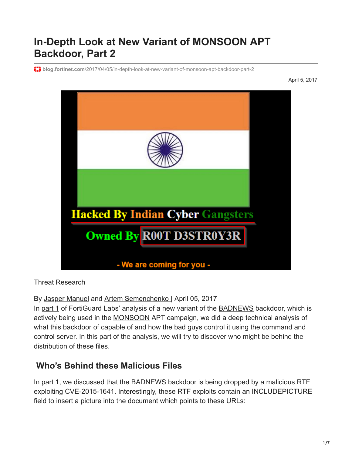## **In-Depth Look at New Variant of MONSOON APT Backdoor, Part 2**

**blog.fortinet.com**[/2017/04/05/in-depth-look-at-new-variant-of-monsoon-apt-backdoor-part-2](http://blog.fortinet.com/2017/04/05/in-depth-look-at-new-variant-of-monsoon-apt-backdoor-part-2)

April 5, 2017



Threat Research

By [Jasper Manuel](http://blog.fortinet.com/blog/search?author=Jasper+Manuel) and [Artem Semenchenko](http://blog.fortinet.com/blog/search?author=Artem+Semenchenko+) | April 05, 2017

In [part 1](http://blog.fortinet.com/2017/04/05/in-depth-look-at-new-variant-of-monsoon-apt-backdoor-part-1) of FortiGuard Labs' analysis of a new variant of the **BADNEWS** backdoor, which is actively being used in the [MONSOON](http://news.softpedia.com/news/monsoon-apt-has-been-hacking-targets-around-the-globe-since-2010-507189.shtml) APT campaign, we did a deep technical analysis of what this backdoor of capable of and how the bad guys control it using the command and control server. In this part of the analysis, we will try to discover who might be behind the distribution of these files.

## **Who's Behind these Malicious Files**

In part 1, we discussed that the BADNEWS backdoor is being dropped by a malicious RTF exploiting CVE-2015-1641. Interestingly, these RTF exploits contain an INCLUDEPICTURE field to insert a picture into the document which points to these URLs: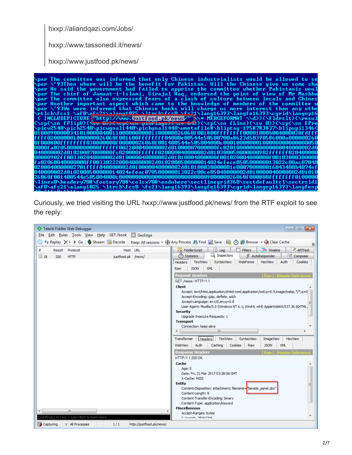hxxp://aliandqazi.com/Jobs/

hxxp://www.tassonedil.it/news/

hxxp://www.justfood.pk/news/



Curiously, we tried visiting the URL hxxp://www.justfood.pk/news/ from the RTF exploit to see the reply:

| Telerik Fiddler Web Debugger                                                                                                  | $\begin{array}{c c c c c c} \hline \multicolumn{3}{c }{\mathbf{C}} & \multicolumn{3}{c }{\mathbf{S}} & \multicolumn{3}{c }{\mathbf{S}} & \multicolumn{3}{c }{\mathbf{S}} & \multicolumn{3}{c }{\mathbf{S}} & \multicolumn{3}{c }{\mathbf{S}} & \multicolumn{3}{c }{\mathbf{S}} & \multicolumn{3}{c }{\mathbf{S}} & \multicolumn{3}{c }{\mathbf{S}} & \multicolumn{3}{c }{\mathbf{S}} & \multicolumn{3}{c }{\mathbf{S}} & \multicolumn{3}{c }{\mathbf$ |
|-------------------------------------------------------------------------------------------------------------------------------|-------------------------------------------------------------------------------------------------------------------------------------------------------------------------------------------------------------------------------------------------------------------------------------------------------------------------------------------------------------------------------------------------------------------------------------------------------|
| Edit Rules Tools View Help GET/book A GeoEdge<br><b>File</b>                                                                  |                                                                                                                                                                                                                                                                                                                                                                                                                                                       |
| + Replay X + D Go   Stream   Vecode   Keep: All sessions + ⊕ Any Process A Find   Save   in ① <i>C</i> Browse + Reflear Cache |                                                                                                                                                                                                                                                                                                                                                                                                                                                       |
| Result<br>Protocol<br>Host URL<br>#                                                                                           | 圓<br><b>APITest</b><br>FiddlerScript<br>Log<br><b>Filters</b><br>$\equiv$ Timeline                                                                                                                                                                                                                                                                                                                                                                    |
| $\boxed{=}$ 18<br>200<br><b>HTTP</b><br>justfood.pk /news/                                                                    | Inspectors<br><b>3</b> Statistics<br>AutoResponder<br>A<br>Composer                                                                                                                                                                                                                                                                                                                                                                                   |
|                                                                                                                               | WebForms<br>Headers<br>TextView<br>SyntaxView<br>HexView<br>Auth<br>Cookies<br><b>JSON</b><br><b>XML</b><br>Raw                                                                                                                                                                                                                                                                                                                                       |
|                                                                                                                               | <b>Request Headers</b><br>[Raw] [Header Definition]                                                                                                                                                                                                                                                                                                                                                                                                   |
|                                                                                                                               | GET /news/HTTP/1.1                                                                                                                                                                                                                                                                                                                                                                                                                                    |
|                                                                                                                               | <b>Client</b><br>Accept: text/html,application/xhtml+xml,application/xml;q=0.9,image/webp,*/*;q=0                                                                                                                                                                                                                                                                                                                                                     |
|                                                                                                                               | Accept-Encoding: gzip, deflate, sdch                                                                                                                                                                                                                                                                                                                                                                                                                  |
|                                                                                                                               | Accept-Language: en-US, en; q=0.8                                                                                                                                                                                                                                                                                                                                                                                                                     |
|                                                                                                                               | User-Agent: Mozilla/5.0 (Windows NT 6.1; Win64; x64) AppleWebKit/537.36 (KHTML,                                                                                                                                                                                                                                                                                                                                                                       |
|                                                                                                                               | <b>Security</b><br>Upgrade-Insecure-Requests: 1                                                                                                                                                                                                                                                                                                                                                                                                       |
|                                                                                                                               | <b>Transport</b>                                                                                                                                                                                                                                                                                                                                                                                                                                      |
|                                                                                                                               | Connection: keep-alive                                                                                                                                                                                                                                                                                                                                                                                                                                |
|                                                                                                                               | m.                                                                                                                                                                                                                                                                                                                                                                                                                                                    |
|                                                                                                                               | Transformer<br>TextView<br>SyntaxView<br>ImageView<br><b>HexView</b><br>Headers                                                                                                                                                                                                                                                                                                                                                                       |
|                                                                                                                               | Auth<br>WebView<br>Caching<br>Cookies<br>Raw<br><b>JSON</b><br><b>XML</b>                                                                                                                                                                                                                                                                                                                                                                             |
|                                                                                                                               | <b>Response Headers</b><br>ader Definitio                                                                                                                                                                                                                                                                                                                                                                                                             |
|                                                                                                                               | HTTP/1.1 200 OK                                                                                                                                                                                                                                                                                                                                                                                                                                       |
|                                                                                                                               | Cache<br>Age: 0                                                                                                                                                                                                                                                                                                                                                                                                                                       |
|                                                                                                                               | Date: Fri, 31 Mar 2017 03:28:56 GMT                                                                                                                                                                                                                                                                                                                                                                                                                   |
|                                                                                                                               | X-Cache: MISS                                                                                                                                                                                                                                                                                                                                                                                                                                         |
|                                                                                                                               | <b>Entity</b><br>Content-Disposition: attachment; filename="Senate_panel.doc"                                                                                                                                                                                                                                                                                                                                                                         |
|                                                                                                                               | Content-Length: 8                                                                                                                                                                                                                                                                                                                                                                                                                                     |
|                                                                                                                               | Content-Transfer-Encoding: binary                                                                                                                                                                                                                                                                                                                                                                                                                     |
|                                                                                                                               | Content-Type: application/msword                                                                                                                                                                                                                                                                                                                                                                                                                      |
| m.<br>∢                                                                                                                       | <b>Miscellaneous</b><br>Accept-Ranges: bytes                                                                                                                                                                                                                                                                                                                                                                                                          |
| QuickExec] ALT+Q > type HELP to learn more                                                                                    | V Marminhy JENGOONG                                                                                                                                                                                                                                                                                                                                                                                                                                   |
| <b>WE</b> Capturing<br>http://justfood.pk/news/<br>$\equiv$ All Processes<br>1/1                                              |                                                                                                                                                                                                                                                                                                                                                                                                                                                       |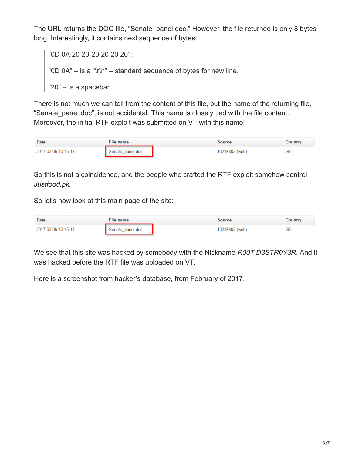The URL returns the DOC file, "Senate panel.doc." However, the file returned is only 8 bytes long. Interestingly, it contains next sequence of bytes:

```
"0D 0A 20 20-20 20 20 20":
"0D 0A" – is a "\r\n" – standard sequence of bytes for new line.
"20" – is a spacebar.
```
There is not much we can tell from the content of this file, but the name of the returning file, "Senate panel.doc", is not accidental. This name is closely tied with the file content. Moreover, the initial RTF exploit was submitted on VT with this name:

| Date                | File name        |  | Source         | Country |
|---------------------|------------------|--|----------------|---------|
| 2017-03-06 10:15:17 | Senate panel.doc |  | 10219402 (web) | GВ      |

So this is not a coincidence, and the people who crafted the RTF exploit somehow control *Justfood.pk.*

So let's now look at this main page of the site:

| Date                | File name        |  | Source         | Country |
|---------------------|------------------|--|----------------|---------|
| 2017-03-06 10:15:17 | Senate panel.doc |  | 10219402 (web) | GB      |

We see that this site was hacked by somebody with the Nickname *R00T D3STR0Y3R*. And it was hacked before the RTF file was uploaded on VT.

Here is a screenshot from hacker's database, from February of 2017.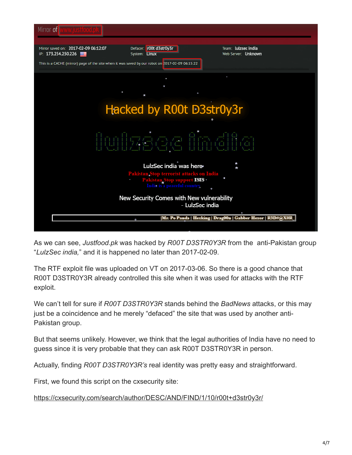

As we can see, *Justfood.pk* was hacked by *R00T D3STR0Y3R* from the anti-Pakistan group "*LulzSec india,*" and it is happened no later than 2017-02-09.

The RTF exploit file was uploaded on VT on 2017-03-06. So there is a good chance that R00T D3STR0Y3R already controlled this site when it was used for attacks with the RTF exploit.

We can't tell for sure if *R00T D3STR0Y3R* stands behind the *BadNews* attacks, or this may just be a coincidence and he merely "defaced" the site that was used by another anti-Pakistan group.

But that seems unlikely. However, we think that the legal authorities of India have no need to guess since it is very probable that they can ask R00T D3STR0Y3R in person.

Actually, finding *R00T D3STR0Y3R's* real identity was pretty easy and straightforward.

First, we found this script on the cxsecurity site:

<https://cxsecurity.com/search/author/DESC/AND/FIND/1/10/r00t+d3str0y3r/>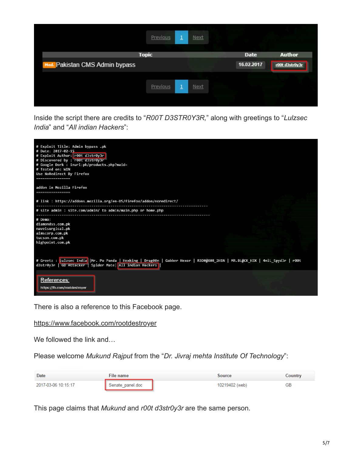|                                | Previous     | d | Next        |             |                |
|--------------------------------|--------------|---|-------------|-------------|----------------|
|                                | <b>Topic</b> |   |             | <b>Date</b> | <b>Author</b>  |
| Med. Pakistan CMS Admin bypass |              |   |             | 16.02.2017  | r00t d3str0y3r |
|                                |              |   |             |             |                |
|                                | Previous     | ◘ | <b>Next</b> |             |                |
|                                |              |   |             |             |                |

Inside the script there are credits to "*R00T D3STR0Y3R,*" along with greetings to "*Lulzsec India*" and "*All indian Hackers*":



There is also a reference to this Facebook page.

<https://www.facebook.com/rootdestroyer>

We followed the link and...

Please welcome *Mukund Rajput* from the "*Dr. Jivraj mehta Institute Of Technology*":

| Date                | File name          | Source         |    | Country |
|---------------------|--------------------|----------------|----|---------|
| 2017-03-06 10:15:17 | N Senate panel.doc | 10219402 (web) | GΒ |         |

This page claims that *Mukund* and *r00t d3str0y3r* are the same person.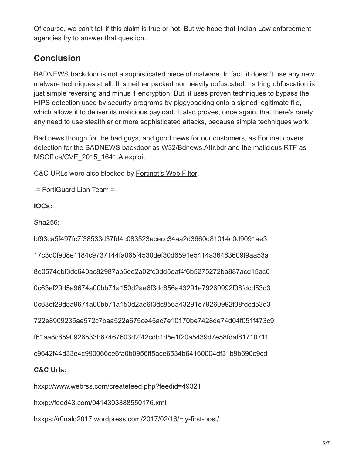Of course, we can't tell if this claim is true or not. But we hope that Indian Law enforcement agencies try to answer that question.

## **Conclusion**

BADNEWS backdoor is not a sophisticated piece of malware. In fact, it doesn't use any new malware techniques at all. It is neither packed nor heavily obfuscated. Its tring obfuscation is just simple reversing and minus 1 encryption. But, it uses proven techniques to bypass the HIPS detection used by security programs by piggybacking onto a signed legitimate file, which allows it to deliver its malicious payload. It also proves, once again, that there's rarely any need to use stealthier or more sophisticated attacks, because simple techniques work.

Bad news though for the bad guys, and good news for our customers, as Fortinet covers detection for the BADNEWS backdoor as W32/Bdnews.A!tr.bdr and the malicious RTF as MSOffice/CVE\_2015\_1641.A!exploit.

C&C URLs were also blocked by [Fortinet's Web Filter.](https://fortiguard.com/iprep?data=109.228.49.213)

-= FortiGuard Lion Team =-

**IOCs:**

Sha256:

bf93ca5f497fc7f38533d37fd4c083523ececc34aa2d3660d81014c0d9091ae3 17c3d0fe08e1184c9737144fa065f4530def30d6591e5414a36463609f9aa53a 8e0574ebf3dc640ac82987ab6ee2a02fc3dd5eaf4f6b5275272ba887acd15ac0 0c63ef29d5a9674a00bb71a150d2ae6f3dc856a43291e79260992f08fdcd53d3 0c63ef29d5a9674a00bb71a150d2ae6f3dc856a43291e79260992f08fdcd53d3 722e8909235ae572c7baa522a675ce45ac7e10170be7428de74d04f051f473c9 f61aa8c6590926533b67467603d2f42cdb1d5e1f20a5439d7e58fdaf81710711 c9642f44d33e4c990066ce6fa0b0956ff5ace6534b64160004df31b9b690c9cd **C&C Urls:** hxxp://www.webrss.com/createfeed.php?feedid=49321

hxxp://feed43.com/0414303388550176.xml

hxxps://r0nald2017.wordpress.com/2017/02/16/my-first-post/